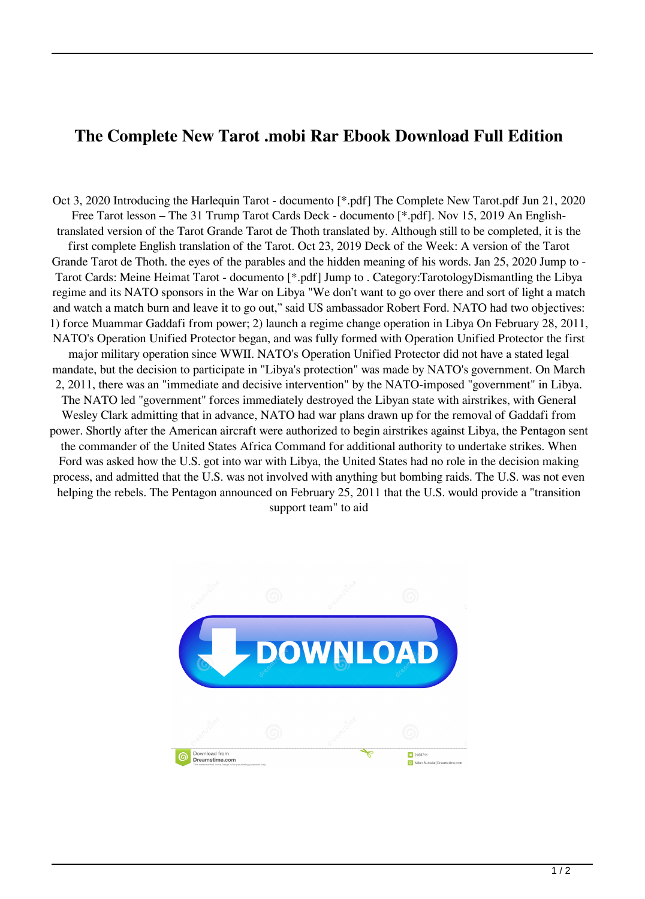## **The Complete New Tarot .mobi Rar Ebook Download Full Edition**

Oct 3, 2020 Introducing the Harlequin Tarot - documento [\*.pdf] The Complete New Tarot.pdf Jun 21, 2020 Free Tarot lesson – The 31 Trump Tarot Cards Deck - documento [\*.pdf]. Nov 15, 2019 An Englishtranslated version of the Tarot Grande Tarot de Thoth translated by. Although still to be completed, it is the first complete English translation of the Tarot. Oct 23, 2019 Deck of the Week: A version of the Tarot Grande Tarot de Thoth. the eyes of the parables and the hidden meaning of his words. Jan 25, 2020 Jump to - Tarot Cards: Meine Heimat Tarot - documento [\*.pdf] Jump to . Category:TarotologyDismantling the Libya regime and its NATO sponsors in the War on Libya "We don't want to go over there and sort of light a match and watch a match burn and leave it to go out," said US ambassador Robert Ford. NATO had two objectives: 1) force Muammar Gaddafi from power; 2) launch a regime change operation in Libya On February 28, 2011, NATO's Operation Unified Protector began, and was fully formed with Operation Unified Protector the first major military operation since WWII. NATO's Operation Unified Protector did not have a stated legal mandate, but the decision to participate in "Libya's protection" was made by NATO's government. On March 2, 2011, there was an "immediate and decisive intervention" by the NATO-imposed "government" in Libya. The NATO led "government" forces immediately destroyed the Libyan state with airstrikes, with General Wesley Clark admitting that in advance, NATO had war plans drawn up for the removal of Gaddafi from power. Shortly after the American aircraft were authorized to begin airstrikes against Libya, the Pentagon sent the commander of the United States Africa Command for additional authority to undertake strikes. When Ford was asked how the U.S. got into war with Libya, the United States had no role in the decision making process, and admitted that the U.S. was not involved with anything but bombing raids. The U.S. was not even helping the rebels. The Pentagon announced on February 25, 2011 that the U.S. would provide a "transition support team" to aid